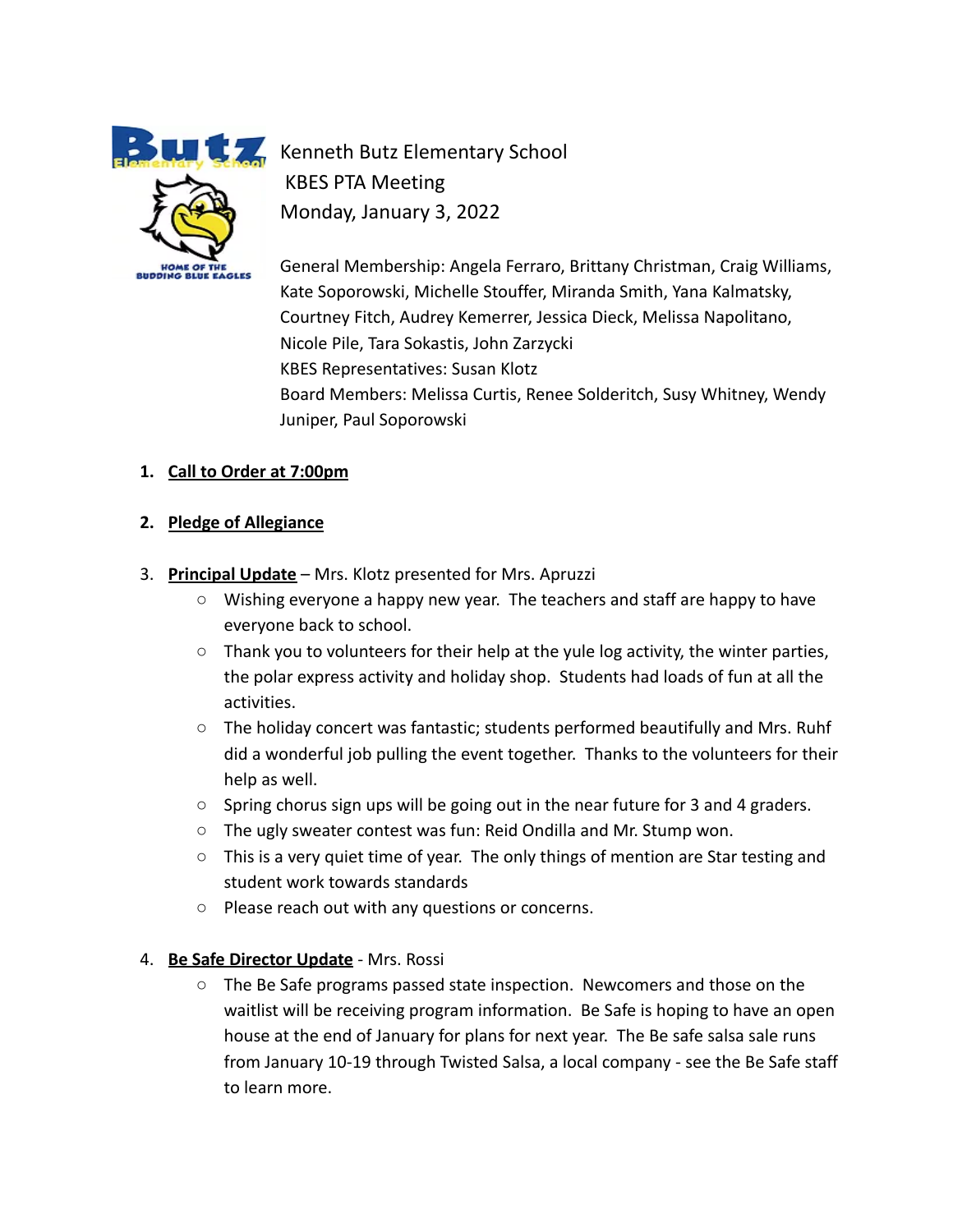

**Kenneth Butz Elementary School** KBES PTA Meeting Monday, January 3, 2022

> General Membership: Angela Ferraro, Brittany Christman, Craig Williams, Kate Soporowski, Michelle Stouffer, Miranda Smith, Yana Kalmatsky, Courtney Fitch, Audrey Kemerrer, Jessica Dieck, Melissa Napolitano, Nicole Pile, Tara Sokastis, John Zarzycki KBES Representatives: Susan Klotz Board Members: Melissa Curtis, Renee Solderitch, Susy Whitney, Wendy Juniper, Paul Soporowski

#### **1. Call to Order at 7:00pm**

#### **2. Pledge of Allegiance**

- 3. **Principal Update** Mrs. Klotz presented for Mrs. Apruzzi
	- $\circ$  Wishing everyone a happy new year. The teachers and staff are happy to have everyone back to school.
	- $\circ$  Thank you to volunteers for their help at the yule log activity, the winter parties, the polar express activity and holiday shop. Students had loads of fun at all the activities.
	- $\circ$  The holiday concert was fantastic; students performed beautifully and Mrs. Ruhf did a wonderful job pulling the event together. Thanks to the volunteers for their help as well.
	- $\circ$  Spring chorus sign ups will be going out in the near future for 3 and 4 graders.
	- The ugly sweater contest was fun: Reid Ondilla and Mr. Stump won.
	- $\circ$  This is a very quiet time of year. The only things of mention are Star testing and student work towards standards
	- Please reach out with any questions or concerns.

#### 4. **Be Safe Director Update** - Mrs. Rossi

 $\circ$  The Be Safe programs passed state inspection. Newcomers and those on the waitlist will be receiving program information. Be Safe is hoping to have an open house at the end of January for plans for next year. The Be safe salsa sale runs from January 10-19 through Twisted Salsa, a local company - see the Be Safe staff to learn more.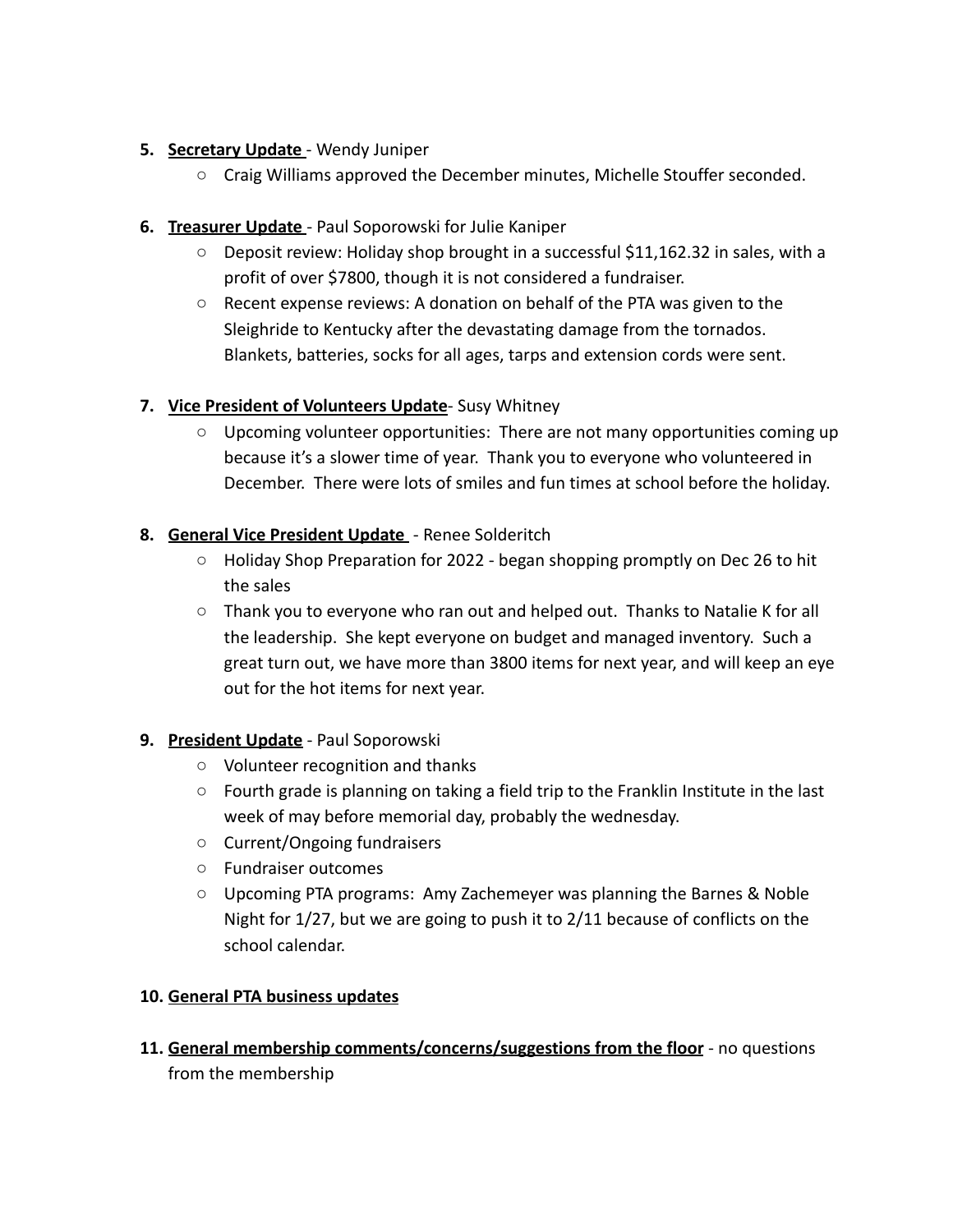#### **5. Secretary Update** - Wendy Juniper

○ Craig Williams approved the December minutes, Michelle Stouffer seconded.

### **6. Treasurer Update** - Paul Soporowski for Julie Kaniper

- Deposit review: Holiday shop brought in a successful \$11,162.32 in sales, with a profit of over \$7800, though it is not considered a fundraiser.
- Recent expense reviews: A donation on behalf of the PTA was given to the Sleighride to Kentucky after the devastating damage from the tornados. Blankets, batteries, socks for all ages, tarps and extension cords were sent.

## **7. Vice President of Volunteers Update**- Susy Whitney

○ Upcoming volunteer opportunities: There are not many opportunities coming up because it's a slower time of year. Thank you to everyone who volunteered in December. There were lots of smiles and fun times at school before the holiday.

## **8. General Vice President Update** - Renee Solderitch

- Holiday Shop Preparation for 2022 began shopping promptly on Dec 26 to hit the sales
- Thank you to everyone who ran out and helped out. Thanks to Natalie K for all the leadership. She kept everyone on budget and managed inventory. Such a great turn out, we have more than 3800 items for next year, and will keep an eye out for the hot items for next year.

#### **9. President Update** - Paul Soporowski

- Volunteer recognition and thanks
- $\circ$  Fourth grade is planning on taking a field trip to the Franklin Institute in the last week of may before memorial day, probably the wednesday.
- Current/Ongoing fundraisers
- Fundraiser outcomes
- $\circ$  Upcoming PTA programs: Amy Zachemeyer was planning the Barnes & Noble Night for 1/27, but we are going to push it to 2/11 because of conflicts on the school calendar.

# **10. General PTA business updates**

**11. General membership comments/concerns/suggestions from the floor** - no questions from the membership